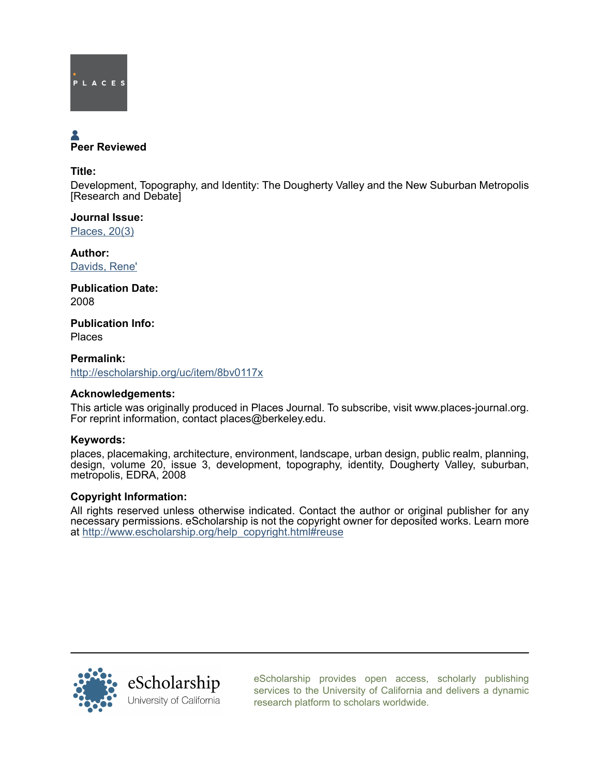

# Peer Reviewed

#### Title:

Development, Topography, and Identity: The Dougherty Valley and the New Suburban Metropolis [Research and Debate]

Journal Issue: [Places, 20\(3\)](http://escholarship.org/uc/ced_places?volume=20;issue=3)

Author: [Davids, Rene'](http://escholarship.org/uc/search?creator=Davids%2C%20Rene%27)

Publication Date: 2008

Publication Info: Places

Permalink: <http://escholarship.org/uc/item/8bv0117x>

## Acknowledgements:

This article was originally produced in Places Journal. To subscribe, visit www.places-journal.org. For reprint information, contact places@berkeley.edu.

## Keywords:

places, placemaking, architecture, environment, landscape, urban design, public realm, planning, design, volume 20, issue 3, development, topography, identity, Dougherty Valley, suburban, metropolis, EDRA, 2008

#### Copyright Information:

All rights reserved unless otherwise indicated. Contact the author or original publisher for any necessary permissions. eScholarship is not the copyright owner for deposited works. Learn more at [http://www.escholarship.org/help\\_copyright.html#reuse](http://www.escholarship.org/help_copyright.html#reuse)



[eScholarship provides open access, scholarly publishing](http://escholarship.org) [services to the University of California and delivers a dynamic](http://escholarship.org) [research platform to scholars worldwide.](http://escholarship.org)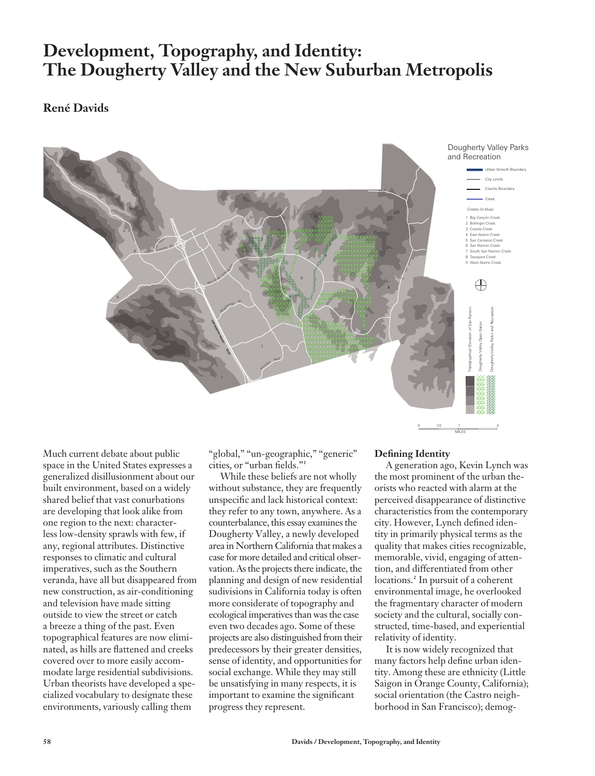# **Development, Topography, and Identity: The Dougherty Valley and the New Suburban Metropolis**

# **René Davids**



Much current debate about public space in the United States expresses a generalized disillusionment about our built environment, based on a widely shared belief that vast conurbations are developing that look alike from one region to the next: characterless low-density sprawls with few, if any, regional attributes. Distinctive responses to climatic and cultural imperatives, such as the Southern veranda, have all but disappeared from new construction, as air-conditioning and television have made sitting outside to view the street or catch a breeze a thing of the past. Even topographical features are now eliminated, as hills are flattened and creeks covered over to more easily accommodate large residential subdivisions. Urban theorists have developed a specialized vocabulary to designate these environments, variously calling them

"global," "un-geographic," "generic" cities, or "urban fields."<sup>1</sup>

While these beliefs are not wholly without substance, they are frequently unspecific and lack historical context: they refer to any town, anywhere. As a counterbalance, this essay examines the Dougherty Valley, a newly developed area in Northern California that makes a case for more detailed and critical observation. As the projects there indicate, the planning and design of new residential sudivisions in California today is often more considerate of topography and ecological imperatives than was the case even two decades ago. Some of these projects are also distinguished from their predecessors by their greater densities, sense of identity, and opportunities for social exchange. While they may still be unsatisfying in many respects, it is important to examine the significant progress they represent.

#### **Defining Identity**

A generation ago, Kevin Lynch was the most prominent of the urban theorists who reacted with alarm at the perceived disappearance of distinctive characteristics from the contemporary city. However, Lynch defined identity in primarily physical terms as the quality that makes cities recognizable, memorable, vivid, engaging of attention, and differentiated from other locations.<sup>2</sup> In pursuit of a coherent environmental image, he overlooked the fragmentary character of modern society and the cultural, socially constructed, time-based, and experiential relativity of identity.

It is now widely recognized that many factors help define urban identity. Among these are ethnicity (Little Saigon in Orange County, California); social orientation (the Castro neighborhood in San Francisco); demog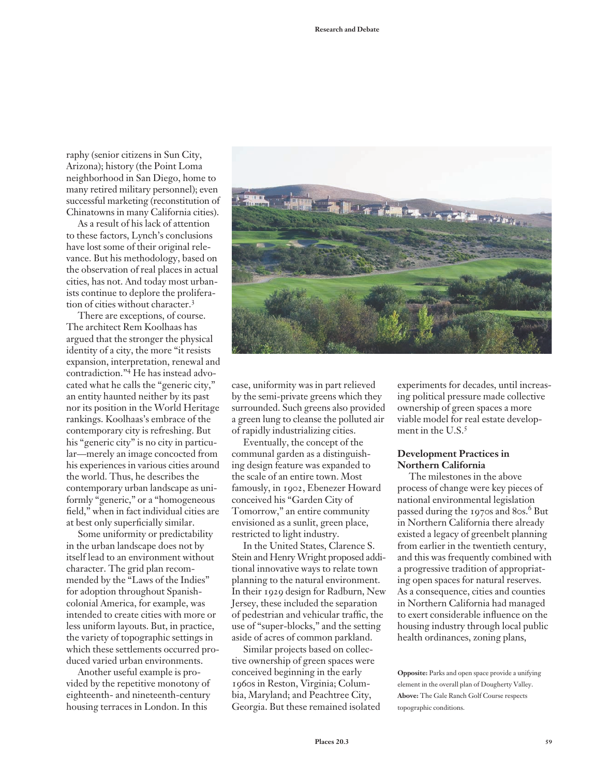raphy (senior citizens in Sun City, Arizona); history (the Point Loma neighborhood in San Diego, home to many retired military personnel); even successful marketing (reconstitution of Chinatowns in many California cities).

As a result of his lack of attention to these factors, Lynch's conclusions have lost some of their original relevance. But his methodology, based on the observation of real places in actual cities, has not. And today most urbanists continue to deplore the proliferation of cities without character.<sup>3</sup>

There are exceptions, of course. The architect Rem Koolhaas has argued that the stronger the physical identity of a city, the more "it resists expansion, interpretation, renewal and contradiction."4 He has instead advocated what he calls the "generic city," an entity haunted neither by its past nor its position in the World Heritage rankings. Koolhaas's embrace of the contemporary city is refreshing. But his "generic city" is no city in particular—merely an image concocted from his experiences in various cities around the world. Thus, he describes the contemporary urban landscape as uniformly "generic," or a "homogeneous field," when in fact individual cities are at best only superficially similar.

Some uniformity or predictability in the urban landscape does not by itself lead to an environment without character. The grid plan recommended by the "Laws of the Indies" for adoption throughout Spanishcolonial America, for example, was intended to create cities with more or less uniform layouts. But, in practice, the variety of topographic settings in which these settlements occurred produced varied urban environments.

Another useful example is provided by the repetitive monotony of eighteenth- and nineteenth-century housing terraces in London. In this



case, uniformity was in part relieved by the semi-private greens which they surrounded. Such greens also provided a green lung to cleanse the polluted air of rapidly industrializing cities.

Eventually, the concept of the communal garden as a distinguishing design feature was expanded to the scale of an entire town. Most famously, in 1902, Ebenezer Howard conceived his "Garden City of Tomorrow," an entire community envisioned as a sunlit, green place, restricted to light industry.

In the United States, Clarence S. Stein and Henry Wright proposed additional innovative ways to relate town planning to the natural environment. In their 1929 design for Radburn, New Jersey, these included the separation of pedestrian and vehicular traffic, the use of "super-blocks," and the setting aside of acres of common parkland.

Similar projects based on collective ownership of green spaces were conceived beginning in the early 1960s in Reston, Virginia; Columbia, Maryland; and Peachtree City, Georgia. But these remained isolated experiments for decades, until increasing political pressure made collective ownership of green spaces a more viable model for real estate development in the U.S.<sup>5</sup>

#### **Development Practices in Northern California**

The milestones in the above process of change were key pieces of national environmental legislation passed during the 1970s and 80s.<sup>6</sup> But in Northern California there already existed a legacy of greenbelt planning from earlier in the twentieth century, and this was frequently combined with a progressive tradition of appropriating open spaces for natural reserves. As a consequence, cities and counties in Northern California had managed to exert considerable influence on the housing industry through local public health ordinances, zoning plans,

**Opposite:** Parks and open space provide a unifying element in the overall plan of Dougherty Valley. **Above:** The Gale Ranch Golf Course respects topographic conditions.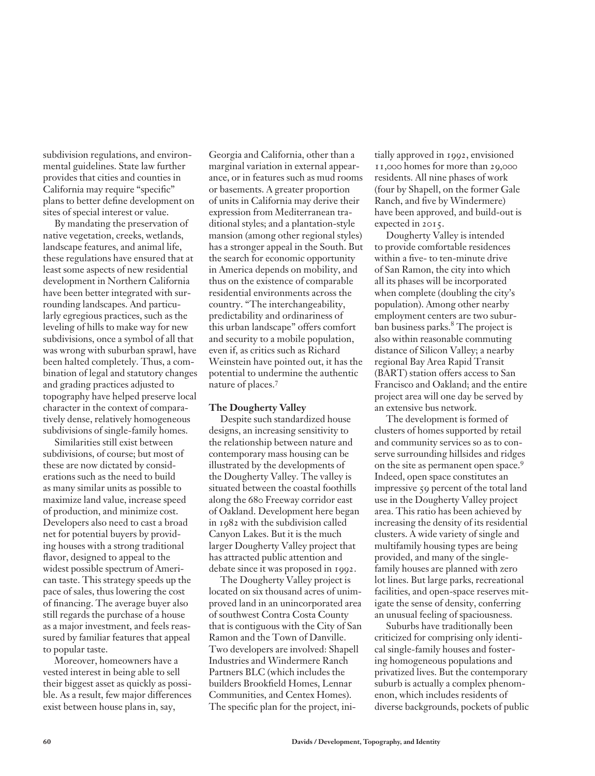subdivision regulations, and environmental guidelines. State law further provides that cities and counties in California may require "specific" plans to better define development on sites of special interest or value.

By mandating the preservation of native vegetation, creeks, wetlands, landscape features, and animal life, these regulations have ensured that at least some aspects of new residential development in Northern California have been better integrated with surrounding landscapes. And particularly egregious practices, such as the leveling of hills to make way for new subdivisions, once a symbol of all that was wrong with suburban sprawl, have been halted completely. Thus, a combination of legal and statutory changes and grading practices adjusted to topography have helped preserve local character in the context of comparatively dense, relatively homogeneous subdivisions of single-family homes.

Similarities still exist between subdivisions, of course; but most of these are now dictated by considerations such as the need to build as many similar units as possible to maximize land value, increase speed of production, and minimize cost. Developers also need to cast a broad net for potential buyers by providing houses with a strong traditional flavor, designed to appeal to the widest possible spectrum of American taste. This strategy speeds up the pace of sales, thus lowering the cost of financing. The average buyer also still regards the purchase of a house as a major investment, and feels reassured by familiar features that appeal to popular taste.

Moreover, homeowners have a vested interest in being able to sell their biggest asset as quickly as possible. As a result, few major differences exist between house plans in, say,

Georgia and California, other than a marginal variation in external appearance, or in features such as mud rooms or basements. A greater proportion of units in California may derive their expression from Mediterranean traditional styles; and a plantation-style mansion (among other regional styles) has a stronger appeal in the South. But the search for economic opportunity in America depends on mobility, and thus on the existence of comparable residential environments across the country. "The interchangeability, predictability and ordinariness of this urban landscape" offers comfort and security to a mobile population, even if, as critics such as Richard Weinstein have pointed out, it has the potential to undermine the authentic nature of places.<sup>7</sup>

#### **The Dougherty Valley**

Despite such standardized house designs, an increasing sensitivity to the relationship between nature and contemporary mass housing can be illustrated by the developments of the Dougherty Valley. The valley is situated between the coastal foothills along the 680 Freeway corridor east of Oakland. Development here began in 1982 with the subdivision called Canyon Lakes. But it is the much larger Dougherty Valley project that has attracted public attention and debate since it was proposed in 1992.

The Dougherty Valley project is located on six thousand acres of unimproved land in an unincorporated area of southwest Contra Costa County that is contiguous with the City of San Ramon and the Town of Danville. Two developers are involved: Shapell Industries and Windermere Ranch Partners BLC (which includes the builders Brookfield Homes, Lennar Communities, and Centex Homes). The specific plan for the project, initially approved in 1992, envisioned 11,000 homes for more than 29,000 residents. All nine phases of work (four by Shapell, on the former Gale Ranch, and five by Windermere) have been approved, and build-out is expected in 2015.

Dougherty Valley is intended to provide comfortable residences within a five- to ten-minute drive of San Ramon, the city into which all its phases will be incorporated when complete (doubling the city's population). Among other nearby employment centers are two suburban business parks.<sup>8</sup> The project is also within reasonable commuting distance of Silicon Valley; a nearby regional Bay Area Rapid Transit (BART) station offers access to San Francisco and Oakland; and the entire project area will one day be served by an extensive bus network.

The development is formed of clusters of homes supported by retail and community services so as to conserve surrounding hillsides and ridges on the site as permanent open space.<sup>9</sup> Indeed, open space constitutes an impressive 59 percent of the total land use in the Dougherty Valley project area. This ratio has been achieved by increasing the density of its residential clusters. A wide variety of single and multifamily housing types are being provided, and many of the singlefamily houses are planned with zero lot lines. But large parks, recreational facilities, and open-space reserves mitigate the sense of density, conferring an unusual feeling of spaciousness.

Suburbs have traditionally been criticized for comprising only identical single-family houses and fostering homogeneous populations and privatized lives. But the contemporary suburb is actually a complex phenomenon, which includes residents of diverse backgrounds, pockets of public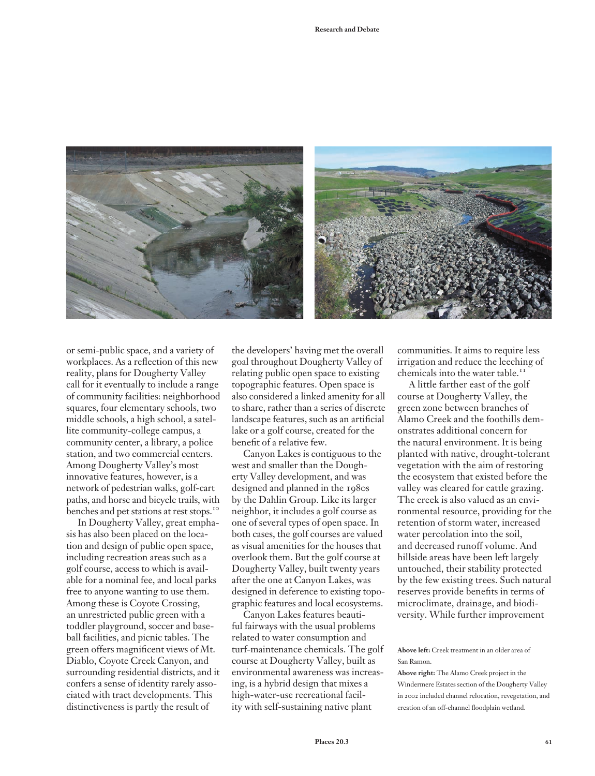

or semi-public space, and a variety of workplaces. As a reflection of this new reality, plans for Dougherty Valley call for it eventually to include a range of community facilities: neighborhood squares, four elementary schools, two middle schools, a high school, a satellite community-college campus, a community center, a library, a police station, and two commercial centers. Among Dougherty Valley's most innovative features, however, is a network of pedestrian walks, golf-cart paths, and horse and bicycle trails, with benches and pet stations at rest stops.<sup>10</sup>

In Dougherty Valley, great emphasis has also been placed on the location and design of public open space, including recreation areas such as a golf course, access to which is available for a nominal fee, and local parks free to anyone wanting to use them. Among these is Coyote Crossing, an unrestricted public green with a toddler playground, soccer and baseball facilities, and picnic tables. The green offers magnificent views of Mt. Diablo, Coyote Creek Canyon, and surrounding residential districts, and it confers a sense of identity rarely associated with tract developments. This distinctiveness is partly the result of

the developers' having met the overall goal throughout Dougherty Valley of relating public open space to existing topographic features. Open space is also considered a linked amenity for all to share, rather than a series of discrete landscape features, such as an artificial lake or a golf course, created for the benefit of a relative few.

Canyon Lakes is contiguous to the west and smaller than the Dougherty Valley development, and was designed and planned in the 1980s by the Dahlin Group. Like its larger neighbor, it includes a golf course as one of several types of open space. In both cases, the golf courses are valued as visual amenities for the houses that overlook them. But the golf course at Dougherty Valley, built twenty years after the one at Canyon Lakes, was designed in deference to existing topographic features and local ecosystems.

Canyon Lakes features beautiful fairways with the usual problems related to water consumption and turf-maintenance chemicals. The golf course at Dougherty Valley, built as environmental awareness was increasing, is a hybrid design that mixes a high-water-use recreational facility with self-sustaining native plant

communities. It aims to require less irrigation and reduce the leeching of chemicals into the water table.<sup>11</sup>

A little farther east of the golf course at Dougherty Valley, the green zone between branches of Alamo Creek and the foothills demonstrates additional concern for the natural environment. It is being planted with native, drought-tolerant vegetation with the aim of restoring the ecosystem that existed before the valley was cleared for cattle grazing. The creek is also valued as an environmental resource, providing for the retention of storm water, increased water percolation into the soil, and decreased runoff volume. And hillside areas have been left largely untouched, their stability protected by the few existing trees. Such natural reserves provide benefits in terms of microclimate, drainage, and biodiversity. While further improvement

**Above left:** Creek treatment in an older area of San Ramon.

**Above right:** The Alamo Creek project in the Windermere Estates section of the Dougherty Valley in 2002 included channel relocation, revegetation, and creation of an off-channel floodplain wetland.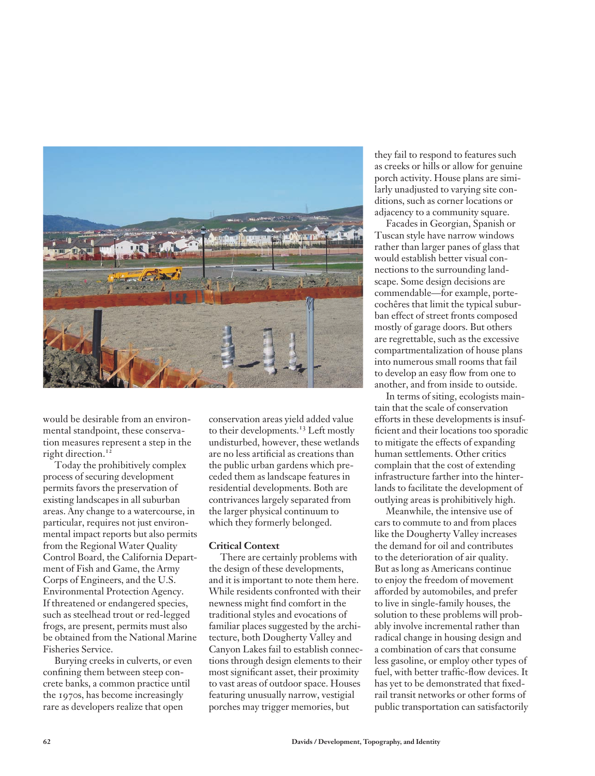

would be desirable from an environmental standpoint, these conservation measures represent a step in the right direction.<sup>12</sup>

Today the prohibitively complex process of securing development permits favors the preservation of existing landscapes in all suburban areas. Any change to a watercourse, in particular, requires not just environmental impact reports but also permits from the Regional Water Quality Control Board, the California Department of Fish and Game, the Army Corps of Engineers, and the U.S. Environmental Protection Agency. If threatened or endangered species, such as steelhead trout or red-legged frogs, are present, permits must also be obtained from the National Marine Fisheries Service.

Burying creeks in culverts, or even confining them between steep concrete banks, a common practice until the 1970s, has become increasingly rare as developers realize that open

conservation areas yield added value to their developments.<sup>13</sup> Left mostly undisturbed, however, these wetlands are no less artificial as creations than the public urban gardens which preceded them as landscape features in residential developments. Both are contrivances largely separated from the larger physical continuum to which they formerly belonged.

#### **Critical Context**

There are certainly problems with the design of these developments, and it is important to note them here. While residents confronted with their newness might find comfort in the traditional styles and evocations of familiar places suggested by the architecture, both Dougherty Valley and Canyon Lakes fail to establish connections through design elements to their most significant asset, their proximity to vast areas of outdoor space. Houses featuring unusually narrow, vestigial porches may trigger memories, but

they fail to respond to features such as creeks or hills or allow for genuine porch activity. House plans are similarly unadjusted to varying site conditions, such as corner locations or adjacency to a community square.

Facades in Georgian, Spanish or Tuscan style have narrow windows rather than larger panes of glass that would establish better visual connections to the surrounding landscape. Some design decisions are commendable—for example, portecochêres that limit the typical suburban effect of street fronts composed mostly of garage doors. But others are regrettable, such as the excessive compartmentalization of house plans into numerous small rooms that fail to develop an easy flow from one to another, and from inside to outside.

In terms of siting, ecologists maintain that the scale of conservation efforts in these developments is insufficient and their locations too sporadic to mitigate the effects of expanding human settlements. Other critics complain that the cost of extending infrastructure farther into the hinterlands to facilitate the development of outlying areas is prohibitively high.

Meanwhile, the intensive use of cars to commute to and from places like the Dougherty Valley increases the demand for oil and contributes to the deterioration of air quality. But as long as Americans continue to enjoy the freedom of movement afforded by automobiles, and prefer to live in single-family houses, the solution to these problems will probably involve incremental rather than radical change in housing design and a combination of cars that consume less gasoline, or employ other types of fuel, with better traffic-flow devices. It has yet to be demonstrated that fixedrail transit networks or other forms of public transportation can satisfactorily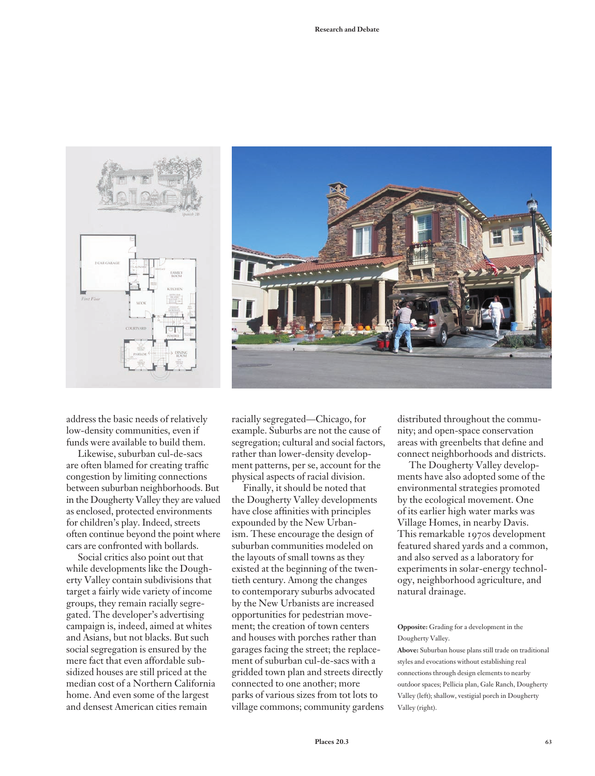



address the basic needs of relatively low-density communities, even if funds were available to build them.

Likewise, suburban cul-de-sacs are often blamed for creating traffic congestion by limiting connections between suburban neighborhoods. But in the Dougherty Valley they are valued as enclosed, protected environments for children's play. Indeed, streets often continue beyond the point where cars are confronted with bollards.

Social critics also point out that while developments like the Dougherty Valley contain subdivisions that target a fairly wide variety of income groups, they remain racially segregated. The developer's advertising campaign is, indeed, aimed at whites and Asians, but not blacks. But such social segregation is ensured by the mere fact that even affordable subsidized houses are still priced at the median cost of a Northern California home. And even some of the largest and densest American cities remain

racially segregated—Chicago, for example. Suburbs are not the cause of segregation; cultural and social factors, rather than lower-density development patterns, per se, account for the physical aspects of racial division.

Finally, it should be noted that the Dougherty Valley developments have close affinities with principles expounded by the New Urbanism. These encourage the design of suburban communities modeled on the layouts of small towns as they existed at the beginning of the twentieth century. Among the changes to contemporary suburbs advocated by the New Urbanists are increased opportunities for pedestrian movement; the creation of town centers and houses with porches rather than garages facing the street; the replacement of suburban cul-de-sacs with a gridded town plan and streets directly connected to one another; more parks of various sizes from tot lots to village commons; community gardens distributed throughout the community; and open-space conservation areas with greenbelts that define and connect neighborhoods and districts.

The Dougherty Valley developments have also adopted some of the environmental strategies promoted by the ecological movement. One of its earlier high water marks was Village Homes, in nearby Davis. This remarkable 1970s development featured shared yards and a common, and also served as a laboratory for experiments in solar-energy technology, neighborhood agriculture, and natural drainage.

#### **Opposite:** Grading for a development in the Dougherty Valley.

**Above:** Suburban house plans still trade on traditional styles and evocations without establishing real connections through design elements to nearby outdoor spaces; Pellicia plan, Gale Ranch, Dougherty Valley (left); shallow, vestigial porch in Dougherty Valley (right).